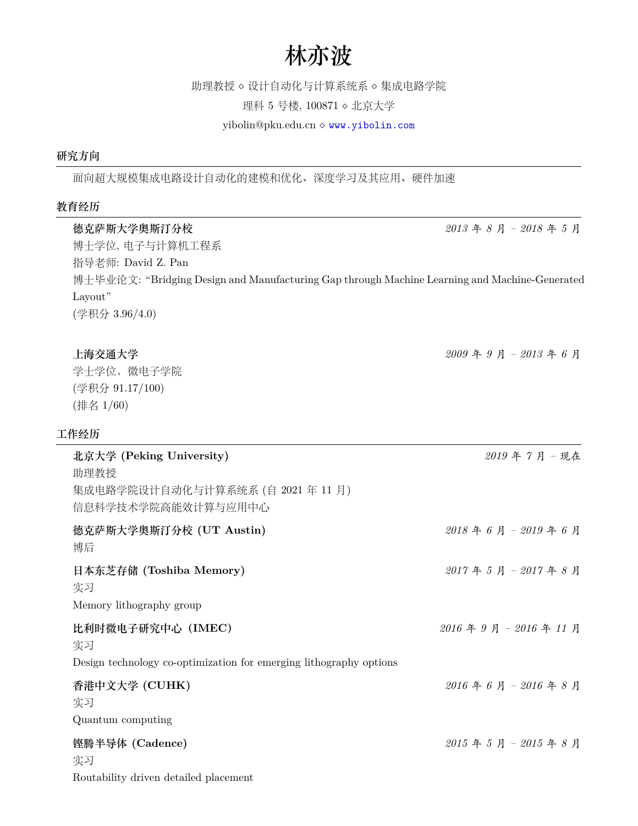# **林亦波**

## 助理教授 *⋄* 设计自动化与计算系统系 *⋄* 集成电路学院

理科 5 号楼, 100871 *⋄* 北京大学

yibolin@pku.edu.cn *⋄* <www.yibolin.com>

## **研究方向**

面向超大规模集成电路设计自动化的建模和优化、深度学习及其应用、硬件加速

## **教育经历**

| 德克萨斯大学奥斯汀分校                                                                                   | 2013年8月-2018年5月             |
|-----------------------------------------------------------------------------------------------|-----------------------------|
| 博士学位, 电子与计算机工程系                                                                               |                             |
| 指导老师: David Z. Pan                                                                            |                             |
| 博士毕业论文: "Bridging Design and Manufacturing Gap through Machine Learning and Machine-Generated |                             |
| Layout"                                                                                       |                             |
| (学积分 3.96/4.0)                                                                                |                             |
| 上海交通大学                                                                                        | 2009年9月-2013年6月             |
| 学士学位, 微电子学院                                                                                   |                             |
| (学积分 91.17/100)                                                                               |                             |
| (排名 1/60)                                                                                     |                             |
| 工作经历                                                                                          |                             |
| 北京大学 (Peking University)<br>助理教授                                                              | 2019年7月-现在                  |
| 集成电路学院设计自动化与计算系统系 (自 2021 年 11 月)                                                             |                             |
| 信息科学技术学院高能效计算与应用中心                                                                            |                             |
| 德克萨斯大学奥斯汀分校 (UT Austin)                                                                       | $2018$ 年 6 月 - $2019$ 年 6 月 |
| 博后                                                                                            |                             |
| 日本东芝存储 (Toshiba Memory)                                                                       | 2017年5月-2017年8月             |
| 实习                                                                                            |                             |
| Memory lithography group                                                                      |                             |
| 比利时微电子研究中心 (IMEC)                                                                             | 2016年9月-2016年11月            |
| 实习                                                                                            |                             |
| Design technology co-optimization for emerging lithography options                            |                             |
| 香港中文大学 (CUHK)                                                                                 | $2016$ 年 6 月 - $2016$ 年 8 月 |
| 实习                                                                                            |                             |
| Quantum computing                                                                             |                             |
| 铿腾半导体 (Cadence)                                                                               | $2015$ 年 5 月 - $2015$ 年 8 月 |
| 实习                                                                                            |                             |
| Routability driven detailed placement                                                         |                             |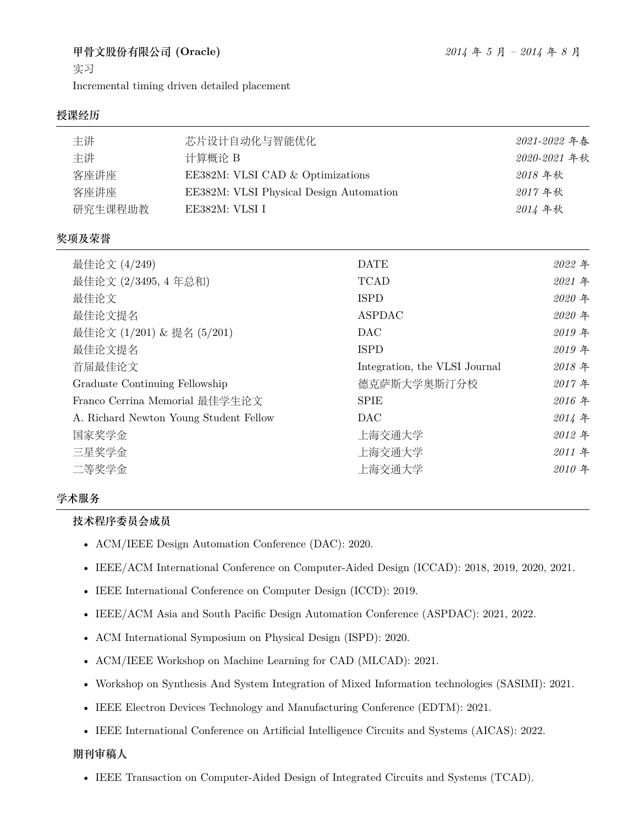## **甲骨文股份有限公司 (Oracle)** *2014* 年 *5* 月 *– 2014* 年 *8* 月

实习

Incremental timing driven detailed placement

## **授课经历**

| 主讲<br>主讲<br>客座讲座<br>客座讲座<br>研究生课程助教 | 芯片设计自动化与智能优化<br>计算概论 B<br>EE382M: VLSI CAD & Optimizations<br>EE382M: VLSI Physical Design Automation<br>EE382M: VLSI I |                               | 2021-2022 年春<br>2020-2021 年秋<br>2018年秋<br>2017年秋<br>2014 年秋 |
|-------------------------------------|-------------------------------------------------------------------------------------------------------------------------|-------------------------------|-------------------------------------------------------------|
| 奖项及荣誉                               |                                                                                                                         |                               |                                                             |
| 最佳论文 (4/249)                        |                                                                                                                         | <b>DATE</b>                   | 2022年                                                       |
| 最佳论文 (2/3495, 4 年总和)                |                                                                                                                         | <b>TCAD</b>                   | 2021 年                                                      |
| 最佳论文                                |                                                                                                                         | <b>ISPD</b>                   | 2020 年                                                      |
| 最佳论文提名                              |                                                                                                                         | <b>ASPDAC</b>                 | 2020 年                                                      |
| 最佳论文 (1/201) & 提名 (5/201)           |                                                                                                                         | DAC                           | 2019年                                                       |
| 最佳论文提名                              |                                                                                                                         | <b>ISPD</b>                   | 2019年                                                       |
| 首届最佳论文                              |                                                                                                                         | Integration, the VLSI Journal | 2018年                                                       |
| Graduate Continuing Fellowship      |                                                                                                                         | 德克萨斯大学奥斯汀分校                   | 2017年                                                       |
|                                     | Franco Cerrina Memorial 最佳学生论文                                                                                          | SPIE                          | 2016年                                                       |
|                                     | A. Richard Newton Young Student Fellow                                                                                  | <b>DAC</b>                    | 2014年                                                       |
| 国家奖学金                               |                                                                                                                         | 上海交通大学                        | 2012年                                                       |

## **学术服务**

**技术程序委员会成员**

- ACM/IEEE Design Automation Conference (DAC): 2020.
- IEEE/ACM International Conference on Computer-Aided Design (ICCAD): 2018, 2019, 2020, 2021.

三星奖学金 上海交通大学 *2011* 年 二等奖学金 上海交通大学 *2010* 年

- IEEE International Conference on Computer Design (ICCD): 2019.
- IEEE/ACM Asia and South Pacific Design Automation Conference (ASPDAC): 2021, 2022.
- ACM International Symposium on Physical Design (ISPD): 2020.
- ACM/IEEE Workshop on Machine Learning for CAD (MLCAD): 2021.
- Workshop on Synthesis And System Integration of Mixed Information technologies (SASIMI): 2021.
- IEEE Electron Devices Technology and Manufacturing Conference (EDTM): 2021.
- IEEE International Conference on Artificial Intelligence Circuits and Systems (AICAS): 2022.

#### **期刊审稿人**

• IEEE Transaction on Computer-Aided Design of Integrated Circuits and Systems (TCAD).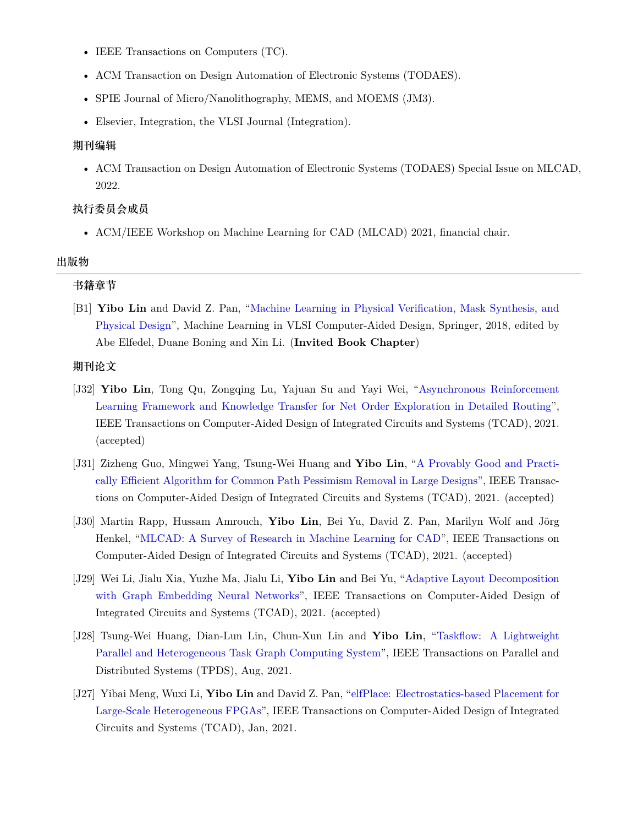- IEEE Transactions on Computers (TC).
- ACM Transaction on Design Automation of Electronic Systems (TODAES).
- SPIE Journal of Micro/Nanolithography, MEMS, and MOEMS (JM3).
- Elsevier, Integration, the VLSI Journal (Integration).

#### **期刊编辑**

• ACM Transaction on Design Automation of Electronic Systems (TODAES) Special Issue on MLCAD, 2022.

#### **执行委员会成员**

• ACM/IEEE Workshop on Machine Learning for CAD (MLCAD) 2021, financial chair.

#### **出版物**

#### **书籍章节**

[B1] **Yibo Lin** and David Z. Pan, ["Machine Learning in Physical Verification, Mask Synthesis, and](http://dx.doi.org/10.1007/978-3-030-04666-8_4) [Physical Design](http://dx.doi.org/10.1007/978-3-030-04666-8_4)", Machine Learning in VLSI Computer-Aided Design, Springer, 2018, edited by Abe Elfedel, Duane Boning and Xin Li. (**Invited Book Chapter**)

#### **期刊论文**

- [J32] **Yibo Lin**, Tong Qu, Zongqing Lu, Yajuan Su and Yayi Wei, ["Asynchronous Reinforcement](https://doi.org/10.1109/TCAD.2021.3117505) [Learning Framework and Knowledge Transfer for Net Order Exploration in Detailed Routing](https://doi.org/10.1109/TCAD.2021.3117505)", IEEE Transactions on Computer-Aided Design of Integrated Circuits and Systems (TCAD), 2021. (accepted)
- [J31] Zizheng Guo, Mingwei Yang, Tsung-Wei Huang and **Yibo Lin**, "[A Provably Good and Practi](https://doi.org/10.1109/TCAD.2021.3124758)[cally Efficient Algorithm for Common Path Pessimism Removal in Large Designs"](https://doi.org/10.1109/TCAD.2021.3124758), IEEE Transactions on Computer-Aided Design of Integrated Circuits and Systems (TCAD), 2021. (accepted)
- [J30] Martin Rapp, Hussam Amrouch, **Yibo Lin**, Bei Yu, David Z. Pan, Marilyn Wolf and Jörg Henkel, "[MLCAD: A Survey of Research in Machine Learning for CAD](https://doi.org/10.1109/TCAD.2021.3124762)", IEEE Transactions on Computer-Aided Design of Integrated Circuits and Systems (TCAD), 2021. (accepted)
- [J29] Wei Li, Jialu Xia, Yuzhe Ma, Jialu Li, **Yibo Lin** and Bei Yu, "[Adaptive Layout Decomposition](https://doi.org/10.1109/TCAD.2022.3140729) [with Graph Embedding Neural Networks](https://doi.org/10.1109/TCAD.2022.3140729)", IEEE Transactions on Computer-Aided Design of Integrated Circuits and Systems (TCAD), 2021. (accepted)
- [J28] Tsung-Wei Huang, Dian-Lun Lin, Chun-Xun Lin and **Yibo Lin**, ["Taskflow: A Lightweight](https://doi.org/10.1109/TPDS.2021.3104255) [Parallel and Heterogeneous Task Graph Computing System"](https://doi.org/10.1109/TPDS.2021.3104255), IEEE Transactions on Parallel and Distributed Systems (TPDS), Aug, 2021.
- [J27] Yibai Meng, Wuxi Li, **Yibo Lin** and David Z. Pan, ["elfPlace: Electrostatics-based Placement for](https://doi.org/10.1109/TCAD.2021.3053191) [Large-Scale Heterogeneous FPGAs"](https://doi.org/10.1109/TCAD.2021.3053191), IEEE Transactions on Computer-Aided Design of Integrated Circuits and Systems (TCAD), Jan, 2021.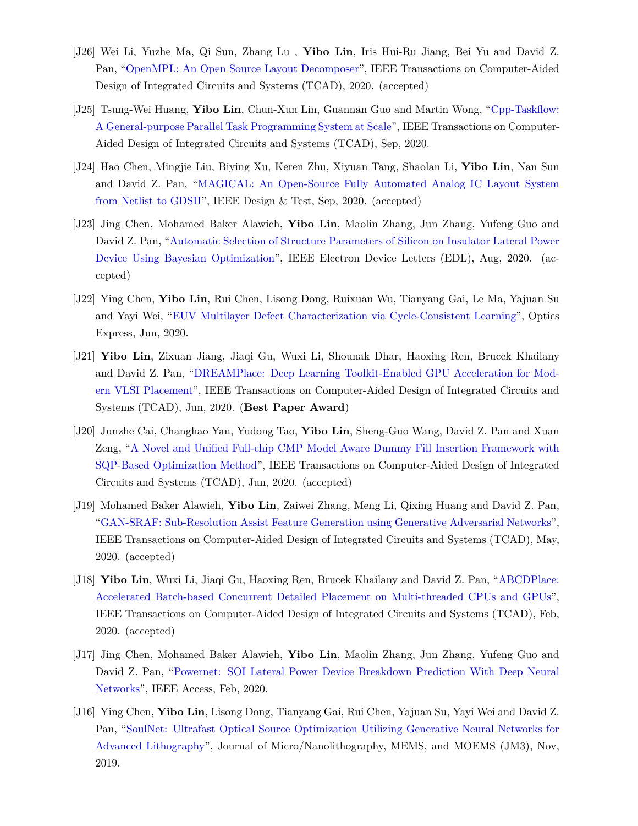- [J26] Wei Li, Yuzhe Ma, Qi Sun, Zhang Lu , **Yibo Lin**, Iris Hui-Ru Jiang, Bei Yu and David Z. Pan, "[OpenMPL: An Open Source Layout Decomposer"](https://doi.org/10.1109/TCAD.2020.3042175), IEEE Transactions on Computer-Aided Design of Integrated Circuits and Systems (TCAD), 2020. (accepted)
- [J25] Tsung-Wei Huang, **Yibo Lin**, Chun-Xun Lin, Guannan Guo and Martin Wong, ["Cpp-Taskflow:](https://doi.org/10.1109/TCAD.2021.3082507) [A General-purpose Parallel Task Programming System at Scale"](https://doi.org/10.1109/TCAD.2021.3082507), IEEE Transactions on Computer-Aided Design of Integrated Circuits and Systems (TCAD), Sep, 2020.
- [J24] Hao Chen, Mingjie Liu, Biying Xu, Keren Zhu, Xiyuan Tang, Shaolan Li, **Yibo Lin**, Nan Sun and David Z. Pan, "[MAGICAL: An Open-Source Fully Automated Analog IC Layout System](https://doi.org/10.1109/MDAT.2020.3024153) [from Netlist to GDSII](https://doi.org/10.1109/MDAT.2020.3024153)", IEEE Design & Test, Sep, 2020. (accepted)
- [J23] Jing Chen, Mohamed Baker Alawieh, **Yibo Lin**, Maolin Zhang, Jun Zhang, Yufeng Guo and David Z. Pan, ["Automatic Selection of Structure Parameters of Silicon on Insulator Lateral Power](https://doi.org/10.1109/LED.2020.3013571) [Device Using Bayesian Optimization"](https://doi.org/10.1109/LED.2020.3013571), IEEE Electron Device Letters (EDL), Aug, 2020. (accepted)
- [J22] Ying Chen, **Yibo Lin**, Rui Chen, Lisong Dong, Ruixuan Wu, Tianyang Gai, Le Ma, Yajuan Su and Yayi Wei, "[EUV Multilayer Defect Characterization via Cycle-Consistent Learning](https://doi.org/10.1364/OE.394590)", Optics Express, Jun, 2020.
- [J21] **Yibo Lin**, Zixuan Jiang, Jiaqi Gu, Wuxi Li, Shounak Dhar, Haoxing Ren, Brucek Khailany and David Z. Pan, ["DREAMPlace: Deep Learning Toolkit-Enabled GPU Acceleration for Mod](https://doi.org/10.1109/TCAD.2020.3003843)[ern VLSI Placement](https://doi.org/10.1109/TCAD.2020.3003843)", IEEE Transactions on Computer-Aided Design of Integrated Circuits and Systems (TCAD), Jun, 2020. (**Best Paper Award**)
- [J20] Junzhe Cai, Changhao Yan, Yudong Tao, **Yibo Lin**, Sheng-Guo Wang, David Z. Pan and Xuan Zeng, ["A Novel and Unified Full-chip CMP Model Aware Dummy Fill Insertion Framework with](https://doi.org/10.1109/TCAD.2020.3001380) [SQP-Based Optimization Method"](https://doi.org/10.1109/TCAD.2020.3001380), IEEE Transactions on Computer-Aided Design of Integrated Circuits and Systems (TCAD), Jun, 2020. (accepted)
- [J19] Mohamed Baker Alawieh, **Yibo Lin**, Zaiwei Zhang, Meng Li, Qixing Huang and David Z. Pan, "[GAN-SRAF: Sub-Resolution Assist Feature Generation using Generative Adversarial Networks](https://doi.org/10.1109/TCAD.2020.2995338)", IEEE Transactions on Computer-Aided Design of Integrated Circuits and Systems (TCAD), May, 2020. (accepted)
- [J18] **Yibo Lin**, Wuxi Li, Jiaqi Gu, Haoxing Ren, Brucek Khailany and David Z. Pan, "[ABCDPlace:](https://doi.org/10.1109/TCAD.2020.2971531) [Accelerated Batch-based Concurrent Detailed Placement on Multi-threaded CPUs and GPUs](https://doi.org/10.1109/TCAD.2020.2971531)", IEEE Transactions on Computer-Aided Design of Integrated Circuits and Systems (TCAD), Feb, 2020. (accepted)
- [J17] Jing Chen, Mohamed Baker Alawieh, **Yibo Lin**, Maolin Zhang, Jun Zhang, Yufeng Guo and David Z. Pan, "[Powernet: SOI Lateral Power Device Breakdown Prediction With Deep Neural](https://doi.org/10.1109/ACCESS.2020.2970966) [Networks](https://doi.org/10.1109/ACCESS.2020.2970966)", IEEE Access, Feb, 2020.
- [J16] Ying Chen, **Yibo Lin**, Lisong Dong, Tianyang Gai, Rui Chen, Yajuan Su, Yayi Wei and David Z. Pan, ["SoulNet: Ultrafast Optical Source Optimization Utilizing Generative Neural Networks for](https://dx.doi.org/10.1117/1.JMM.18.4.043506) [Advanced Lithography"](https://dx.doi.org/10.1117/1.JMM.18.4.043506), Journal of Micro/Nanolithography, MEMS, and MOEMS (JM3), Nov, 2019.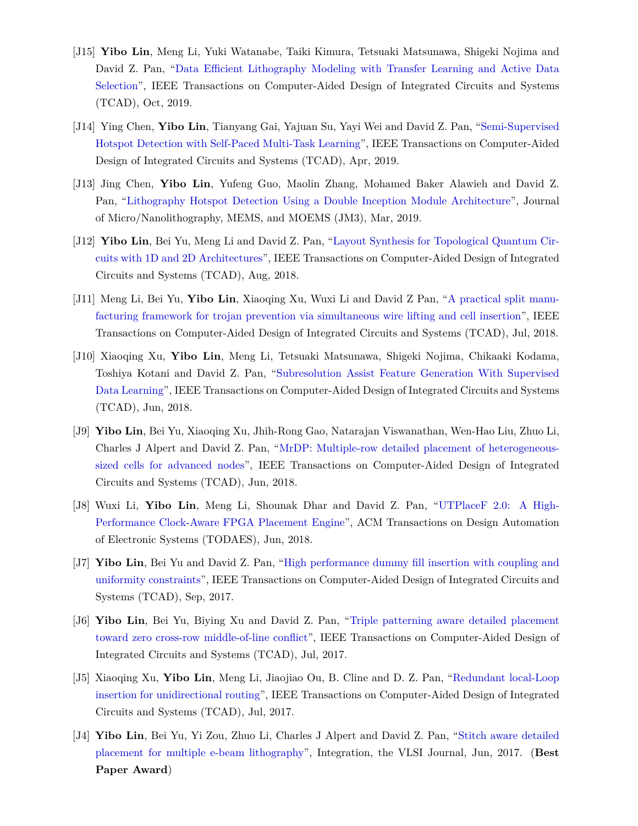- [J15] **Yibo Lin**, Meng Li, Yuki Watanabe, Taiki Kimura, Tetsuaki Matsunawa, Shigeki Nojima and David Z. Pan, ["Data Efficient Lithography Modeling with Transfer Learning and Active Data](https://doi.org/10.1109/TCAD.2018.2864251) [Selection"](https://doi.org/10.1109/TCAD.2018.2864251), IEEE Transactions on Computer-Aided Design of Integrated Circuits and Systems (TCAD), Oct, 2019.
- [J14] Ying Chen, **Yibo Lin**, Tianyang Gai, Yajuan Su, Yayi Wei and David Z. Pan, "[Semi-Supervised](https://doi.org/10.1109/TCAD.2019.2912948) [Hotspot Detection with Self-Paced Multi-Task Learning](https://doi.org/10.1109/TCAD.2019.2912948)", IEEE Transactions on Computer-Aided Design of Integrated Circuits and Systems (TCAD), Apr, 2019.
- [J13] Jing Chen, **Yibo Lin**, Yufeng Guo, Maolin Zhang, Mohamed Baker Alawieh and David Z. Pan, "[Lithography Hotspot Detection Using a Double Inception Module Architecture](https://doi.org/10.1117/1.JMM.18.1.013507)", Journal of Micro/Nanolithography, MEMS, and MOEMS (JM3), Mar, 2019.
- [J12] **Yibo Lin**, Bei Yu, Meng Li and David Z. Pan, "[Layout Synthesis for Topological Quantum Cir](https://doi.org/10.1109/TCAD.2017.2760511)[cuits with 1D and 2D Architectures](https://doi.org/10.1109/TCAD.2017.2760511)", IEEE Transactions on Computer-Aided Design of Integrated Circuits and Systems (TCAD), Aug, 2018.
- [J11] Meng Li, Bei Yu, **Yibo Lin**, Xiaoqing Xu, Wuxi Li and David Z Pan, "[A practical split manu](https://doi.org/10.1109/TCAD.2018.2859402)[facturing framework for trojan prevention via simultaneous wire lifting and cell insertion](https://doi.org/10.1109/TCAD.2018.2859402)", IEEE Transactions on Computer-Aided Design of Integrated Circuits and Systems (TCAD), Jul, 2018.
- [J10] Xiaoqing Xu, **Yibo Lin**, Meng Li, Tetsuaki Matsunawa, Shigeki Nojima, Chikaaki Kodama, Toshiya Kotani and David Z. Pan, ["Subresolution Assist Feature Generation With Supervised](https://doi.org/10.1109/TCAD.2017.2748029) [Data Learning](https://doi.org/10.1109/TCAD.2017.2748029)", IEEE Transactions on Computer-Aided Design of Integrated Circuits and Systems (TCAD), Jun, 2018.
- [J9] **Yibo Lin**, Bei Yu, Xiaoqing Xu, Jhih-Rong Gao, Natarajan Viswanathan, Wen-Hao Liu, Zhuo Li, Charles J Alpert and David Z. Pan, ["MrDP: Multiple-row detailed placement of heterogeneous](https://doi.org/10.1109/TCAD.2017.2748025)[sized cells for advanced nodes"](https://doi.org/10.1109/TCAD.2017.2748025), IEEE Transactions on Computer-Aided Design of Integrated Circuits and Systems (TCAD), Jun, 2018.
- [J8] Wuxi Li, **Yibo Lin**, Meng Li, Shounak Dhar and David Z. Pan, ["UTPlaceF 2.0: A High-](https://doi.org/10.1145/3174849)[Performance Clock-Aware FPGA Placement Engine"](https://doi.org/10.1145/3174849), ACM Transactions on Design Automation of Electronic Systems (TODAES), Jun, 2018.
- [J7] **Yibo Lin**, Bei Yu and David Z. Pan, ["High performance dummy fill insertion with coupling and](http://dx.doi.org/10.1109/TCAD.2016.2638452) [uniformity constraints"](http://dx.doi.org/10.1109/TCAD.2016.2638452), IEEE Transactions on Computer-Aided Design of Integrated Circuits and Systems (TCAD), Sep, 2017.
- [J6] **Yibo Lin**, Bei Yu, Biying Xu and David Z. Pan, "[Triple patterning aware detailed placement](http://dx.doi.org/10.1109/TCAD.2017.2648843) [toward zero cross-row middle-of-line conflict"](http://dx.doi.org/10.1109/TCAD.2017.2648843), IEEE Transactions on Computer-Aided Design of Integrated Circuits and Systems (TCAD), Jul, 2017.
- [J5] Xiaoqing Xu, **Yibo Lin**, Meng Li, Jiaojiao Ou, B. Cline and D. Z. Pan, "[Redundant local-Loop](http://dx.doi.org/10.1109/TCAD.2017.2651811) [insertion for unidirectional routing"](http://dx.doi.org/10.1109/TCAD.2017.2651811), IEEE Transactions on Computer-Aided Design of Integrated Circuits and Systems (TCAD), Jul, 2017.
- [J4] **Yibo Lin**, Bei Yu, Yi Zou, Zhuo Li, Charles J Alpert and David Z. Pan, ["Stitch aware detailed](http://dx.doi.org/10.1016/j.vlsi.2017.02.004) [placement for multiple e-beam lithography"](http://dx.doi.org/10.1016/j.vlsi.2017.02.004), Integration, the VLSI Journal, Jun, 2017. (**Best Paper Award**)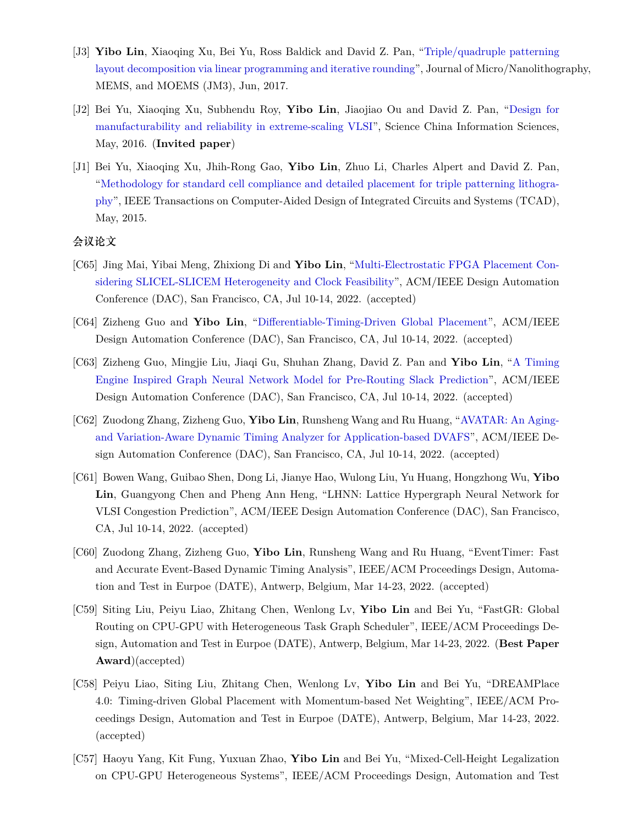- [J3] **Yibo Lin**, Xiaoqing Xu, Bei Yu, Ross Baldick and David Z. Pan, ["Triple/quadruple patterning](http://dx.doi.org/10.1117/1.JMM.16.2.023507) [layout decomposition via linear programming and iterative rounding](http://dx.doi.org/10.1117/1.JMM.16.2.023507)", Journal of Micro/Nanolithography, MEMS, and MOEMS (JM3), Jun, 2017.
- [J2] Bei Yu, Xiaoqing Xu, Subhendu Roy, **Yibo Lin**, Jiaojiao Ou and David Z. Pan, "[Design for](http://link.springer.com/article/10.1007%2Fs11432-016-5560-6) [manufacturability and reliability in extreme-scaling VLSI"](http://link.springer.com/article/10.1007%2Fs11432-016-5560-6), Science China Information Sciences, May, 2016. (**Invited paper**)
- [J1] Bei Yu, Xiaoqing Xu, Jhih-Rong Gao, **Yibo Lin**, Zhuo Li, Charles Alpert and David Z. Pan, "[Methodology for standard cell compliance and detailed placement for triple patterning lithogra](https://doi.org/10.1109/TCAD.2015.2401571)[phy"](https://doi.org/10.1109/TCAD.2015.2401571), IEEE Transactions on Computer-Aided Design of Integrated Circuits and Systems (TCAD), May, 2015.

#### **会议论文**

- [C65] Jing Mai, Yibai Meng, Zhixiong Di and **Yibo Lin**, ["Multi-Electrostatic FPGA Placement Con](https://doi.org/10.1145/3489517.3530568)[sidering SLICEL-SLICEM Heterogeneity and Clock Feasibility](https://doi.org/10.1145/3489517.3530568)", ACM/IEEE Design Automation Conference (DAC), San Francisco, CA, Jul 10-14, 2022. (accepted)
- [C64] Zizheng Guo and **Yibo Lin**, "[Differentiable-Timing-Driven Global Placement](https://doi.org/10.1145/3489517.3530486)", ACM/IEEE Design Automation Conference (DAC), San Francisco, CA, Jul 10-14, 2022. (accepted)
- [C63] Zizheng Guo, Mingjie Liu, Jiaqi Gu, Shuhan Zhang, David Z. Pan and **Yibo Lin**, "[A Timing](https://doi.org/10.1145/3489517.3530597) [Engine Inspired Graph Neural Network Model for Pre-Routing Slack Prediction"](https://doi.org/10.1145/3489517.3530597), ACM/IEEE Design Automation Conference (DAC), San Francisco, CA, Jul 10-14, 2022. (accepted)
- [C62] Zuodong Zhang, Zizheng Guo, **Yibo Lin**, Runsheng Wang and Ru Huang, "[AVATAR: An Aging](https://doi.org/10.1145/3489517.3530530)[and Variation-Aware Dynamic Timing Analyzer for Application-based DVAFS](https://doi.org/10.1145/3489517.3530530)", ACM/IEEE Design Automation Conference (DAC), San Francisco, CA, Jul 10-14, 2022. (accepted)
- [C61] Bowen Wang, Guibao Shen, Dong Li, Jianye Hao, Wulong Liu, Yu Huang, Hongzhong Wu, **Yibo Lin**, Guangyong Chen and Pheng Ann Heng, "LHNN: Lattice Hypergraph Neural Network for VLSI Congestion Prediction", ACM/IEEE Design Automation Conference (DAC), San Francisco, CA, Jul 10-14, 2022. (accepted)
- [C60] Zuodong Zhang, Zizheng Guo, **Yibo Lin**, Runsheng Wang and Ru Huang, "EventTimer: Fast and Accurate Event-Based Dynamic Timing Analysis", IEEE/ACM Proceedings Design, Automation and Test in Eurpoe (DATE), Antwerp, Belgium, Mar 14-23, 2022. (accepted)
- [C59] Siting Liu, Peiyu Liao, Zhitang Chen, Wenlong Lv, **Yibo Lin** and Bei Yu, "FastGR: Global Routing on CPU-GPU with Heterogeneous Task Graph Scheduler", IEEE/ACM Proceedings Design, Automation and Test in Eurpoe (DATE), Antwerp, Belgium, Mar 14-23, 2022. (**Best Paper Award**)(accepted)
- [C58] Peiyu Liao, Siting Liu, Zhitang Chen, Wenlong Lv, **Yibo Lin** and Bei Yu, "DREAMPlace 4.0: Timing-driven Global Placement with Momentum-based Net Weighting", IEEE/ACM Proceedings Design, Automation and Test in Eurpoe (DATE), Antwerp, Belgium, Mar 14-23, 2022. (accepted)
- [C57] Haoyu Yang, Kit Fung, Yuxuan Zhao, **Yibo Lin** and Bei Yu, "Mixed-Cell-Height Legalization on CPU-GPU Heterogeneous Systems", IEEE/ACM Proceedings Design, Automation and Test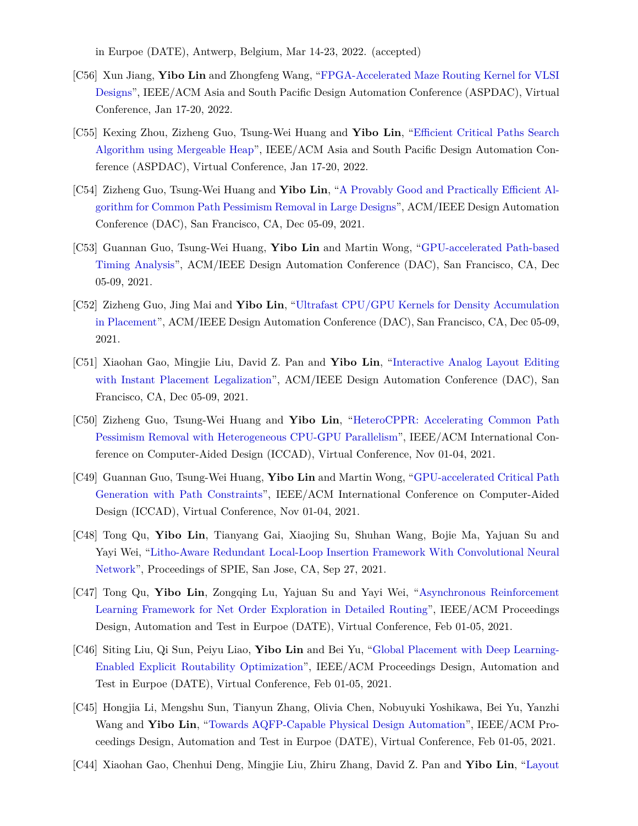in Eurpoe (DATE), Antwerp, Belgium, Mar 14-23, 2022. (accepted)

- [C56] Xun Jiang, **Yibo Lin** and Zhongfeng Wang, "[FPGA-Accelerated Maze Routing Kernel for VLSI](https://doi.org/10.1109/ASP-DAC52403.2022.9712533) [Designs"](https://doi.org/10.1109/ASP-DAC52403.2022.9712533), IEEE/ACM Asia and South Pacific Design Automation Conference (ASPDAC), Virtual Conference, Jan 17-20, 2022.
- [C55] Kexing Zhou, Zizheng Guo, Tsung-Wei Huang and **Yibo Lin**, ["Efficient Critical Paths Search](https://doi.org/10.1109/ASP-DAC52403.2022.9712566) [Algorithm using Mergeable Heap"](https://doi.org/10.1109/ASP-DAC52403.2022.9712566), IEEE/ACM Asia and South Pacific Design Automation Conference (ASPDAC), Virtual Conference, Jan 17-20, 2022.
- [C54] Zizheng Guo, Tsung-Wei Huang and **Yibo Lin**, "[A Provably Good and Practically Efficient Al](https://doi.org/10.1109/DAC18074.2021.9586085)[gorithm for Common Path Pessimism Removal in Large Designs](https://doi.org/10.1109/DAC18074.2021.9586085)", ACM/IEEE Design Automation Conference (DAC), San Francisco, CA, Dec 05-09, 2021.
- [C53] Guannan Guo, Tsung-Wei Huang, **Yibo Lin** and Martin Wong, "[GPU-accelerated Path-based](https://doi.org/10.1109/DAC18074.2021.9586316) [Timing Analysis"](https://doi.org/10.1109/DAC18074.2021.9586316), ACM/IEEE Design Automation Conference (DAC), San Francisco, CA, Dec 05-09, 2021.
- [C52] Zizheng Guo, Jing Mai and **Yibo Lin**, "[Ultrafast CPU/GPU Kernels for Density Accumulation](https://doi.org/10.1109/DAC18074.2021.9586149) [in Placement"](https://doi.org/10.1109/DAC18074.2021.9586149), ACM/IEEE Design Automation Conference (DAC), San Francisco, CA, Dec 05-09, 2021.
- [C51] Xiaohan Gao, Mingjie Liu, David Z. Pan and **Yibo Lin**, ["Interactive Analog Layout Editing](https://doi.org/10.1109/DAC18074.2021.9586234) [with Instant Placement Legalization"](https://doi.org/10.1109/DAC18074.2021.9586234), ACM/IEEE Design Automation Conference (DAC), San Francisco, CA, Dec 05-09, 2021.
- [C50] Zizheng Guo, Tsung-Wei Huang and **Yibo Lin**, "[HeteroCPPR: Accelerating Common Path](https://doi.org/10.1109/ICCAD51958.2021.9643457) [Pessimism Removal with Heterogeneous CPU-GPU Parallelism"](https://doi.org/10.1109/ICCAD51958.2021.9643457), IEEE/ACM International Conference on Computer-Aided Design (ICCAD), Virtual Conference, Nov 01-04, 2021.
- [C49] Guannan Guo, Tsung-Wei Huang, **Yibo Lin** and Martin Wong, ["GPU-accelerated Critical Path](https://doi.org/10.1109/ICCAD51958.2021.9643504) [Generation with Path Constraints](https://doi.org/10.1109/ICCAD51958.2021.9643504)", IEEE/ACM International Conference on Computer-Aided Design (ICCAD), Virtual Conference, Nov 01-04, 2021.
- [C48] Tong Qu, **Yibo Lin**, Tianyang Gai, Xiaojing Su, Shuhan Wang, Bojie Ma, Yajuan Su and Yayi Wei, ["Litho-Aware Redundant Local-Loop Insertion Framework With Convolutional Neural](https://doi.org/10.1117/12.2601685) [Network](https://doi.org/10.1117/12.2601685)", Proceedings of SPIE, San Jose, CA, Sep 27, 2021.
- [C47] Tong Qu, **Yibo Lin**, Zongqing Lu, Yajuan Su and Yayi Wei, ["Asynchronous Reinforcement](https://doi.org/10.23919/DATE51398.2021.9474007) [Learning Framework for Net Order Exploration in Detailed Routing"](https://doi.org/10.23919/DATE51398.2021.9474007), IEEE/ACM Proceedings Design, Automation and Test in Eurpoe (DATE), Virtual Conference, Feb 01-05, 2021.
- [C46] Siting Liu, Qi Sun, Peiyu Liao, **Yibo Lin** and Bei Yu, "[Global Placement with Deep Learning-](https://doi.org/10.23919/DATE51398.2021.9473959)[Enabled Explicit Routability Optimization](https://doi.org/10.23919/DATE51398.2021.9473959)", IEEE/ACM Proceedings Design, Automation and Test in Eurpoe (DATE), Virtual Conference, Feb 01-05, 2021.
- [C45] Hongjia Li, Mengshu Sun, Tianyun Zhang, Olivia Chen, Nobuyuki Yoshikawa, Bei Yu, Yanzhi Wang and **Yibo Lin**, ["Towards AQFP-Capable Physical Design Automation"](https://doi.org/10.23919/DATE51398.2021.9474259), IEEE/ACM Proceedings Design, Automation and Test in Eurpoe (DATE), Virtual Conference, Feb 01-05, 2021.
- [C44] Xiaohan Gao, Chenhui Deng, Mingjie Liu, Zhiru Zhang, David Z. Pan and **Yibo Lin**, ["Layout](https://doi.org/10.1145/3394885.3431545)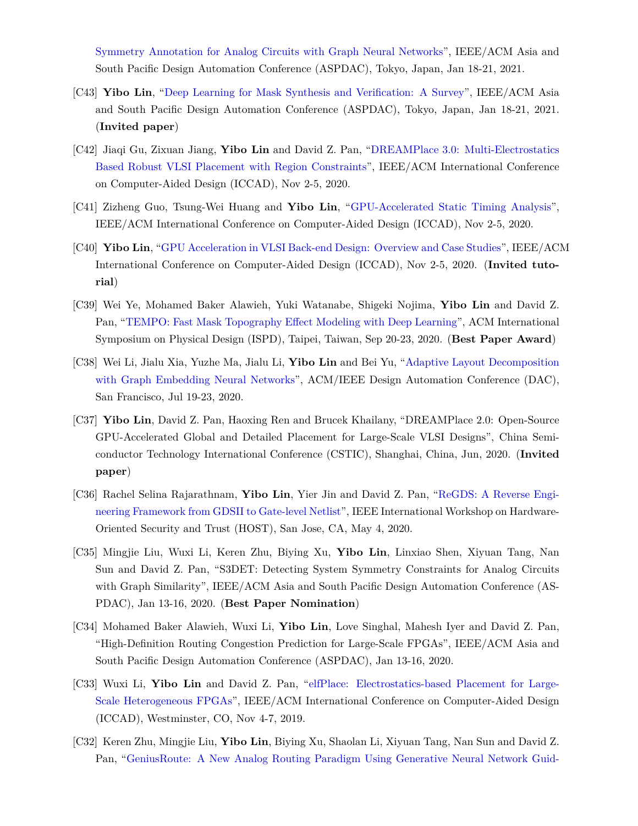[Symmetry Annotation for Analog Circuits with Graph Neural Networks](https://doi.org/10.1145/3394885.3431545)", IEEE/ACM Asia and South Pacific Design Automation Conference (ASPDAC), Tokyo, Japan, Jan 18-21, 2021.

- [C43] **Yibo Lin**, "[Deep Learning for Mask Synthesis and Verification: A Survey"](https://doi.org/10.1145/3394885.3431624), IEEE/ACM Asia and South Pacific Design Automation Conference (ASPDAC), Tokyo, Japan, Jan 18-21, 2021. (**Invited paper**)
- [C42] Jiaqi Gu, Zixuan Jiang, **Yibo Lin** and David Z. Pan, ["DREAMPlace 3.0: Multi-Electrostatics](https://doi.org/10.1145/3400302.3415691) [Based Robust VLSI Placement with Region Constraints](https://doi.org/10.1145/3400302.3415691)", IEEE/ACM International Conference on Computer-Aided Design (ICCAD), Nov 2-5, 2020.
- [C41] Zizheng Guo, Tsung-Wei Huang and **Yibo Lin**, "[GPU-Accelerated Static Timing Analysis](https://doi.org/10.1145/3400302.3415631)", IEEE/ACM International Conference on Computer-Aided Design (ICCAD), Nov 2-5, 2020.
- [C40] **Yibo Lin**, "[GPU Acceleration in VLSI Back-end Design: Overview and Case Studies](https://doi.org/10.1145/3400302.3415765)", IEEE/ACM International Conference on Computer-Aided Design (ICCAD), Nov 2-5, 2020. (**Invited tutorial**)
- [C39] Wei Ye, Mohamed Baker Alawieh, Yuki Watanabe, Shigeki Nojima, **Yibo Lin** and David Z. Pan, "[TEMPO: Fast Mask Topography Effect Modeling with Deep Learning"](https://doi.org/10.1145/3372780.3375565), ACM International Symposium on Physical Design (ISPD), Taipei, Taiwan, Sep 20-23, 2020. (**Best Paper Award**)
- [C38] Wei Li, Jialu Xia, Yuzhe Ma, Jialu Li, **Yibo Lin** and Bei Yu, ["Adaptive Layout Decomposition](https://doi.org/10.1109/DAC18072.2020.9218706) [with Graph Embedding Neural Networks](https://doi.org/10.1109/DAC18072.2020.9218706)", ACM/IEEE Design Automation Conference (DAC), San Francisco, Jul 19-23, 2020.
- [C37] **Yibo Lin**, David Z. Pan, Haoxing Ren and Brucek Khailany, "DREAMPlace 2.0: Open-Source GPU-Accelerated Global and Detailed Placement for Large-Scale VLSI Designs", China Semiconductor Technology International Conference (CSTIC), Shanghai, China, Jun, 2020. (**Invited paper**)
- [C36] Rachel Selina Rajarathnam, **Yibo Lin**, Yier Jin and David Z. Pan, "[ReGDS: A Reverse Engi](https://doi.org/10.1109/HOST45689.2020.9300272)[neering Framework from GDSII to Gate-level Netlist](https://doi.org/10.1109/HOST45689.2020.9300272)", IEEE International Workshop on Hardware-Oriented Security and Trust (HOST), San Jose, CA, May 4, 2020.
- [C35] Mingjie Liu, Wuxi Li, Keren Zhu, Biying Xu, **Yibo Lin**, Linxiao Shen, Xiyuan Tang, Nan Sun and David Z. Pan, "S3DET: Detecting System Symmetry Constraints for Analog Circuits with Graph Similarity", IEEE/ACM Asia and South Pacific Design Automation Conference (AS-PDAC), Jan 13-16, 2020. (**Best Paper Nomination**)
- [C34] Mohamed Baker Alawieh, Wuxi Li, **Yibo Lin**, Love Singhal, Mahesh Iyer and David Z. Pan, "High-Definition Routing Congestion Prediction for Large-Scale FPGAs", IEEE/ACM Asia and South Pacific Design Automation Conference (ASPDAC), Jan 13-16, 2020.
- [C33] Wuxi Li, **Yibo Lin** and David Z. Pan, ["elfPlace: Electrostatics-based Placement for Large-](https://doi.org/10.1109/ICCAD45719.2019.8942075)[Scale Heterogeneous FPGAs"](https://doi.org/10.1109/ICCAD45719.2019.8942075), IEEE/ACM International Conference on Computer-Aided Design (ICCAD), Westminster, CO, Nov 4-7, 2019.
- [C32] Keren Zhu, Mingjie Liu, **Yibo Lin**, Biying Xu, Shaolan Li, Xiyuan Tang, Nan Sun and David Z. Pan, ["GeniusRoute: A New Analog Routing Paradigm Using Generative Neural Network Guid-](https://doi.org/10.1109/ICCAD45719.2019.8942164)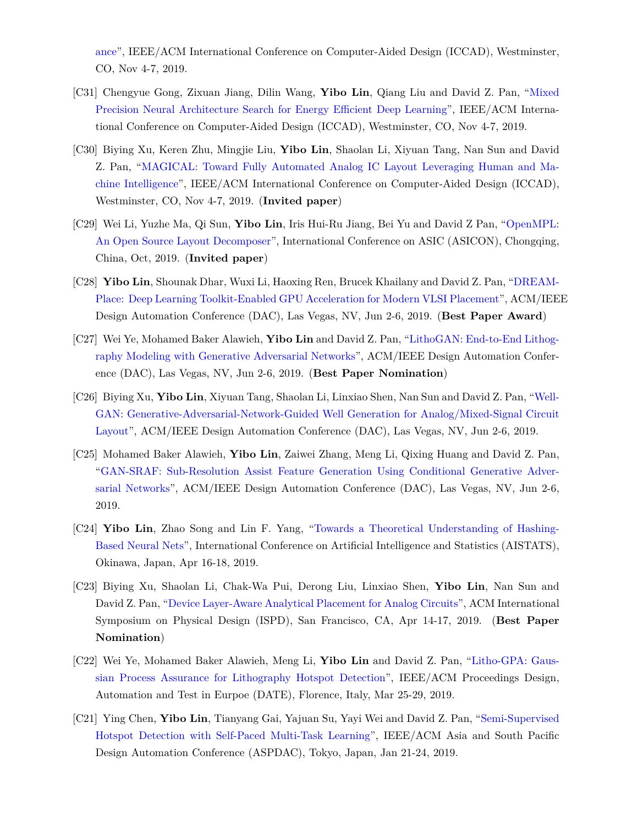[ance](https://doi.org/10.1109/ICCAD45719.2019.8942164)", IEEE/ACM International Conference on Computer-Aided Design (ICCAD), Westminster, CO, Nov 4-7, 2019.

- [C31] Chengyue Gong, Zixuan Jiang, Dilin Wang, **Yibo Lin**, Qiang Liu and David Z. Pan, ["Mixed](https://doi.org/10.1109/ICCAD45719.2019.8942147) [Precision Neural Architecture Search for Energy Efficient Deep Learning](https://doi.org/10.1109/ICCAD45719.2019.8942147)", IEEE/ACM International Conference on Computer-Aided Design (ICCAD), Westminster, CO, Nov 4-7, 2019.
- [C30] Biying Xu, Keren Zhu, Mingjie Liu, **Yibo Lin**, Shaolan Li, Xiyuan Tang, Nan Sun and David Z. Pan, "[MAGICAL: Toward Fully Automated Analog IC Layout Leveraging Human and Ma](https://doi.org/10.1109/ICCAD45719.2019.8942060)[chine Intelligence](https://doi.org/10.1109/ICCAD45719.2019.8942060)", IEEE/ACM International Conference on Computer-Aided Design (ICCAD), Westminster, CO, Nov 4-7, 2019. (**Invited paper**)
- [C29] Wei Li, Yuzhe Ma, Qi Sun, **Yibo Lin**, Iris Hui-Ru Jiang, Bei Yu and David Z Pan, "[OpenMPL:](https://arxiv.org/abs/1809.07554) [An Open Source Layout Decomposer](https://arxiv.org/abs/1809.07554)", International Conference on ASIC (ASICON), Chongqing, China, Oct, 2019. (**Invited paper**)
- [C28] **Yibo Lin**, Shounak Dhar, Wuxi Li, Haoxing Ren, Brucek Khailany and David Z. Pan, ["DREAM-](https://doi.org/10.1145/3316781.3317803)[Place: Deep Learning Toolkit-Enabled GPU Acceleration for Modern VLSI Placement](https://doi.org/10.1145/3316781.3317803)", ACM/IEEE Design Automation Conference (DAC), Las Vegas, NV, Jun 2-6, 2019. (**Best Paper Award**)
- [C27] Wei Ye, Mohamed Baker Alawieh, **Yibo Lin** and David Z. Pan, ["LithoGAN: End-to-End Lithog](https://doi.org/10.1145/3316781.3317852)[raphy Modeling with Generative Adversarial Networks](https://doi.org/10.1145/3316781.3317852)", ACM/IEEE Design Automation Conference (DAC), Las Vegas, NV, Jun 2-6, 2019. (**Best Paper Nomination**)
- [C26] Biying Xu, **Yibo Lin**, Xiyuan Tang, Shaolan Li, Linxiao Shen, Nan Sun and David Z. Pan, ["Well-](https://doi.org/10.1145/3316781.3317930)[GAN: Generative-Adversarial-Network-Guided Well Generation for Analog/Mixed-Signal Circuit](https://doi.org/10.1145/3316781.3317930) [Layout"](https://doi.org/10.1145/3316781.3317930), ACM/IEEE Design Automation Conference (DAC), Las Vegas, NV, Jun 2-6, 2019.
- [C25] Mohamed Baker Alawieh, **Yibo Lin**, Zaiwei Zhang, Meng Li, Qixing Huang and David Z. Pan, "[GAN-SRAF: Sub-Resolution Assist Feature Generation Using Conditional Generative Adver](https://doi.org/10.1145/3316781.3317832)[sarial Networks](https://doi.org/10.1145/3316781.3317832)", ACM/IEEE Design Automation Conference (DAC), Las Vegas, NV, Jun 2-6, 2019.
- [C24] **Yibo Lin**, Zhao Song and Lin F. Yang, ["Towards a Theoretical Understanding of Hashing-](https://arxiv.org/abs/1812.10244)[Based Neural Nets](https://arxiv.org/abs/1812.10244)", International Conference on Artificial Intelligence and Statistics (AISTATS), Okinawa, Japan, Apr 16-18, 2019.
- [C23] Biying Xu, Shaolan Li, Chak-Wa Pui, Derong Liu, Linxiao Shen, **Yibo Lin**, Nan Sun and David Z. Pan, ["Device Layer-Aware Analytical Placement for Analog Circuits"](https://doi.org/10.1145/3299902.3309751), ACM International Symposium on Physical Design (ISPD), San Francisco, CA, Apr 14-17, 2019. (**Best Paper Nomination**)
- [C22] Wei Ye, Mohamed Baker Alawieh, Meng Li, **Yibo Lin** and David Z. Pan, "[Litho-GPA: Gaus](https://doi.org/10.23919/DATE.2019.8714960)[sian Process Assurance for Lithography Hotspot Detection](https://doi.org/10.23919/DATE.2019.8714960)", IEEE/ACM Proceedings Design, Automation and Test in Eurpoe (DATE), Florence, Italy, Mar 25-29, 2019.
- [C21] Ying Chen, **Yibo Lin**, Tianyang Gai, Yajuan Su, Yayi Wei and David Z. Pan, "[Semi-Supervised](https://doi.org/10.1145/3287624.3287685) [Hotspot Detection with Self-Paced Multi-Task Learning](https://doi.org/10.1145/3287624.3287685)", IEEE/ACM Asia and South Pacific Design Automation Conference (ASPDAC), Tokyo, Japan, Jan 21-24, 2019.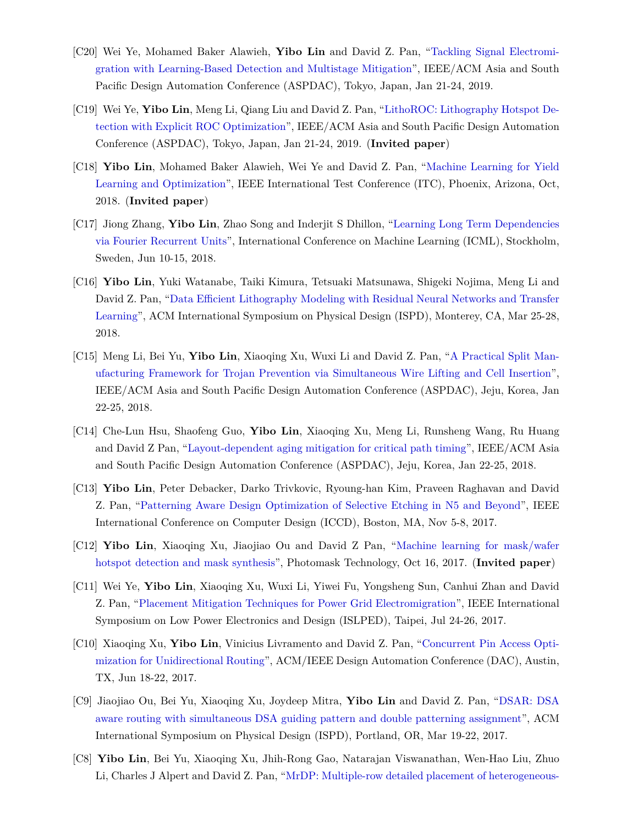- [C20] Wei Ye, Mohamed Baker Alawieh, **Yibo Lin** and David Z. Pan, "[Tackling Signal Electromi](https://doi.org/10.1145/3287624.3287688)[gration with Learning-Based Detection and Multistage Mitigation"](https://doi.org/10.1145/3287624.3287688), IEEE/ACM Asia and South Pacific Design Automation Conference (ASPDAC), Tokyo, Japan, Jan 21-24, 2019.
- [C19] Wei Ye, **Yibo Lin**, Meng Li, Qiang Liu and David Z. Pan, ["LithoROC: Lithography Hotspot De](https://doi.org/10.1145/3287624.3288746)[tection with Explicit ROC Optimization"](https://doi.org/10.1145/3287624.3288746), IEEE/ACM Asia and South Pacific Design Automation Conference (ASPDAC), Tokyo, Japan, Jan 21-24, 2019. (**Invited paper**)
- [C18] **Yibo Lin**, Mohamed Baker Alawieh, Wei Ye and David Z. Pan, ["Machine Learning for Yield](https://doi.org/10.1109/TEST.2018.8624733) [Learning and Optimization"](https://doi.org/10.1109/TEST.2018.8624733), IEEE International Test Conference (ITC), Phoenix, Arizona, Oct, 2018. (**Invited paper**)
- [C17] Jiong Zhang, **Yibo Lin**, Zhao Song and Inderjit S Dhillon, "[Learning Long Term Dependencies](https://arxiv.org/pdf/1803.06585.pdf) [via Fourier Recurrent Units"](https://arxiv.org/pdf/1803.06585.pdf), International Conference on Machine Learning (ICML), Stockholm, Sweden, Jun 10-15, 2018.
- [C16] **Yibo Lin**, Yuki Watanabe, Taiki Kimura, Tetsuaki Matsunawa, Shigeki Nojima, Meng Li and David Z. Pan, ["Data Efficient Lithography Modeling with Residual Neural Networks and Transfer](https://doi.org/10.1145/3177540.3178242) [Learning](https://doi.org/10.1145/3177540.3178242)", ACM International Symposium on Physical Design (ISPD), Monterey, CA, Mar 25-28, 2018.
- [C15] Meng Li, Bei Yu, **Yibo Lin**, Xiaoqing Xu, Wuxi Li and David Z. Pan, ["A Practical Split Man](https://doi.org/10.1109/ASPDAC.2018.8297316)[ufacturing Framework for Trojan Prevention via Simultaneous Wire Lifting and Cell Insertion](https://doi.org/10.1109/ASPDAC.2018.8297316)", IEEE/ACM Asia and South Pacific Design Automation Conference (ASPDAC), Jeju, Korea, Jan 22-25, 2018.
- [C14] Che-Lun Hsu, Shaofeng Guo, **Yibo Lin**, Xiaoqing Xu, Meng Li, Runsheng Wang, Ru Huang and David Z Pan, ["Layout-dependent aging mitigation for critical path timing"](https://doi.org/10.1109/ASPDAC.2018.8297298), IEEE/ACM Asia and South Pacific Design Automation Conference (ASPDAC), Jeju, Korea, Jan 22-25, 2018.
- [C13] **Yibo Lin**, Peter Debacker, Darko Trivkovic, Ryoung-han Kim, Praveen Raghavan and David Z. Pan, "[Patterning Aware Design Optimization of Selective Etching in N5 and Beyond"](https://doi.org/10.1109/ICCD.2017.72), IEEE International Conference on Computer Design (ICCD), Boston, MA, Nov 5-8, 2017.
- [C12] **Yibo Lin**, Xiaoqing Xu, Jiaojiao Ou and David Z Pan, "[Machine learning for mask/wafer](http://dx.doi.org/10.1117/12.2282943) [hotspot detection and mask synthesis](http://dx.doi.org/10.1117/12.2282943)", Photomask Technology, Oct 16, 2017. (**Invited paper**)
- [C11] Wei Ye, **Yibo Lin**, Xiaoqing Xu, Wuxi Li, Yiwei Fu, Yongsheng Sun, Canhui Zhan and David Z. Pan, ["Placement Mitigation Techniques for Power Grid Electromigration"](https://doi.org/10.1109/ISLPED.2017.8009178), IEEE International Symposium on Low Power Electronics and Design (ISLPED), Taipei, Jul 24-26, 2017.
- [C10] Xiaoqing Xu, **Yibo Lin**, Vinicius Livramento and David Z. Pan, ["Concurrent Pin Access Opti](https://doi.org/10.1145/3061639.3062214)[mization for Unidirectional Routing](https://doi.org/10.1145/3061639.3062214)", ACM/IEEE Design Automation Conference (DAC), Austin, TX, Jun 18-22, 2017.
- [C9] Jiaojiao Ou, Bei Yu, Xiaoqing Xu, Joydeep Mitra, **Yibo Lin** and David Z. Pan, "[DSAR: DSA](https://doi.org/10.1145/3036669.3036677) [aware routing with simultaneous DSA guiding pattern and double patterning assignment"](https://doi.org/10.1145/3036669.3036677), ACM International Symposium on Physical Design (ISPD), Portland, OR, Mar 19-22, 2017.
- [C8] **Yibo Lin**, Bei Yu, Xiaoqing Xu, Jhih-Rong Gao, Natarajan Viswanathan, Wen-Hao Liu, Zhuo Li, Charles J Alpert and David Z. Pan, ["MrDP: Multiple-row detailed placement of heterogeneous-](http://dx.doi.org/10.1145/2966986.2967055)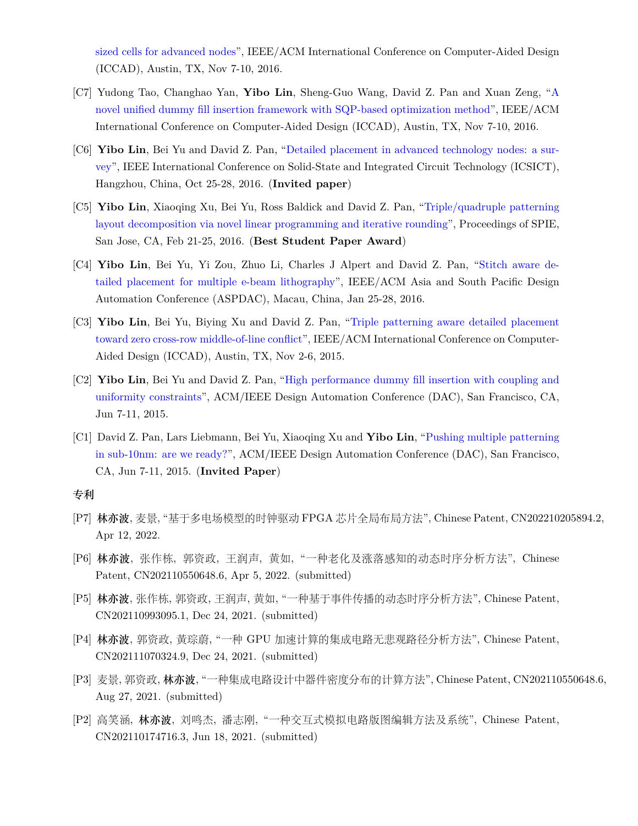[sized cells for advanced nodes](http://dx.doi.org/10.1145/2966986.2967055)", IEEE/ACM International Conference on Computer-Aided Design (ICCAD), Austin, TX, Nov 7-10, 2016.

- [C7] Yudong Tao, Changhao Yan, **Yibo Lin**, Sheng-Guo Wang, David Z. Pan and Xuan Zeng, ["A](http://dx.doi.org/10.1145/2966986.2966994) [novel unified dummy fill insertion framework with SQP-based optimization method"](http://dx.doi.org/10.1145/2966986.2966994), IEEE/ACM International Conference on Computer-Aided Design (ICCAD), Austin, TX, Nov 7-10, 2016.
- [C6] **Yibo Lin**, Bei Yu and David Z. Pan, "[Detailed placement in advanced technology nodes: a sur](https://doi.org/10.1109/ICSICT.2016.7999056)[vey](https://doi.org/10.1109/ICSICT.2016.7999056)", IEEE International Conference on Solid-State and Integrated Circuit Technology (ICSICT), Hangzhou, China, Oct 25-28, 2016. (**Invited paper**)
- [C5] **Yibo Lin**, Xiaoqing Xu, Bei Yu, Ross Baldick and David Z. Pan, ["Triple/quadruple patterning](http://dx.doi.org/10.1117/12.2218628) [layout decomposition via novel linear programming and iterative rounding"](http://dx.doi.org/10.1117/12.2218628), Proceedings of SPIE, San Jose, CA, Feb 21-25, 2016. (**Best Student Paper Award**)
- [C4] **Yibo Lin**, Bei Yu, Yi Zou, Zhuo Li, Charles J Alpert and David Z. Pan, ["Stitch aware de](http://ieeexplore.ieee.org/xpl/articleDetails.jsp?arnumber=7428009)[tailed placement for multiple e-beam lithography"](http://ieeexplore.ieee.org/xpl/articleDetails.jsp?arnumber=7428009), IEEE/ACM Asia and South Pacific Design Automation Conference (ASPDAC), Macau, China, Jan 25-28, 2016.
- [C3] **Yibo Lin**, Bei Yu, Biying Xu and David Z. Pan, ["Triple patterning aware detailed placement](http://dl.acm.org/citation.cfm?id=2840875) [toward zero cross-row middle-of-line conflict](http://dl.acm.org/citation.cfm?id=2840875)", IEEE/ACM International Conference on Computer-Aided Design (ICCAD), Austin, TX, Nov 2-6, 2015.
- [C2] **Yibo Lin**, Bei Yu and David Z. Pan, "[High performance dummy fill insertion with coupling and](http://dl.acm.org/citation.cfm?id=2744769.2744850) [uniformity constraints"](http://dl.acm.org/citation.cfm?id=2744769.2744850), ACM/IEEE Design Automation Conference (DAC), San Francisco, CA, Jun 7-11, 2015.
- [C1] David Z. Pan, Lars Liebmann, Bei Yu, Xiaoqing Xu and **Yibo Lin**, "[Pushing multiple patterning](http://dl.acm.org/citation.cfm?id=2744769.2747940) [in sub-10nm: are we ready?](http://dl.acm.org/citation.cfm?id=2744769.2747940)", ACM/IEEE Design Automation Conference (DAC), San Francisco, CA, Jun 7-11, 2015. (**Invited Paper**)

#### **专利**

- [P7] **林亦波**, 麦景, "基于多电场模型的时钟驱动 FPGA 芯片全局布局方法", Chinese Patent, CN202210205894.2, Apr 12, 2022.
- [P6] **林亦波**, 张作栋, 郭资政, 王润声, 黄如, "一种老化及涨落感知的动态时序分析方法", Chinese Patent, CN202110550648.6, Apr 5, 2022. (submitted)
- [P5] **林亦波**, 张作栋, 郭资政, 王润声, 黄如, "一种基于事件传播的动态时序分析方法", Chinese Patent, CN202110993095.1, Dec 24, 2021. (submitted)
- [P4] **林亦波**, 郭资政, 黃琮蔚, "一种 GPU 加速计算的集成电路无悲观路径分析方法", Chinese Patent, CN202111070324.9, Dec 24, 2021. (submitted)
- [P3] 麦景, 郭资政, **林亦波**, "一种集成电路设计中器件密度分布的计算方法", Chinese Patent, CN202110550648.6, Aug 27, 2021. (submitted)
- [P2] 高笑涵, **林亦波**, 刘鸣杰, 潘志刚, "一种交互式模拟电路版图编辑方法及系统", Chinese Patent, CN202110174716.3, Jun 18, 2021. (submitted)